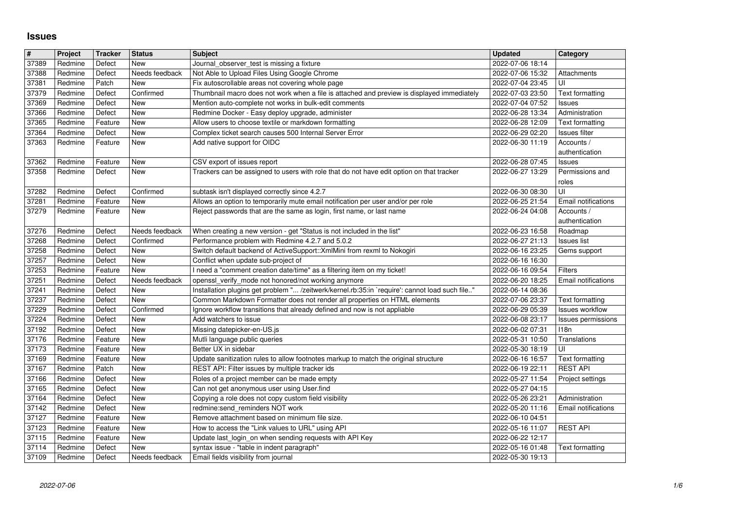## **Issues**

| #              | Project            | <b>Tracker</b>    | <b>Status</b>                | <b>Subject</b>                                                                                                                                                              | <b>Updated</b>                       | Category                            |
|----------------|--------------------|-------------------|------------------------------|-----------------------------------------------------------------------------------------------------------------------------------------------------------------------------|--------------------------------------|-------------------------------------|
| 37389<br>37388 | Redmine<br>Redmine | Defect<br>Defect  | <b>New</b><br>Needs feedback | Journal_observer_test is missing a fixture<br>Not Able to Upload Files Using Google Chrome                                                                                  | 2022-07-06 18:14<br>2022-07-06 15:32 | Attachments                         |
| 37381          | Redmine            | Patch             | New                          | Fix autoscrollable areas not covering whole page                                                                                                                            | 2022-07-04 23:45                     | UI                                  |
| 37379          | Redmine            | Defect            | Confirmed                    | Thumbnail macro does not work when a file is attached and preview is displayed immediately                                                                                  | 2022-07-03 23:50                     | Text formatting                     |
| 37369<br>37366 | Redmine<br>Redmine | Defect<br>Defect  | New<br>New                   | Mention auto-complete not works in bulk-edit comments<br>Redmine Docker - Easy deploy upgrade, administer                                                                   | 2022-07-04 07:52<br>2022-06-28 13:34 | Issues<br>Administration            |
| 37365          | Redmine            | Feature           | New                          | Allow users to choose textile or markdown formatting                                                                                                                        | 2022-06-28 12:09                     | Text formatting                     |
| 37364          | Redmine            | Defect            | New                          | Complex ticket search causes 500 Internal Server Error                                                                                                                      | 2022-06-29 02:20                     | Issues filter                       |
| 37363          | Redmine            | Feature           | New                          | Add native support for OIDC                                                                                                                                                 | 2022-06-30 11:19                     | Accounts /<br>authentication        |
| 37362          | Redmine            | Feature           | New                          | CSV export of issues report                                                                                                                                                 | 2022-06-28 07:45                     | <b>Issues</b>                       |
| 37358          | Redmine            | Defect            | New                          | Trackers can be assigned to users with role that do not have edit option on that tracker                                                                                    | 2022-06-27 13:29                     | Permissions and                     |
| 37282          | Redmine            | Defect            | Confirmed                    | subtask isn't displayed correctly since 4.2.7                                                                                                                               | 2022-06-30 08:30                     | roles<br>UI                         |
| 37281          | Redmine            | Feature           | New                          | Allows an option to temporarily mute email notification per user and/or per role                                                                                            | 2022-06-25 21:54                     | Email notifications                 |
| 37279          | Redmine            | Feature           | New                          | Reject passwords that are the same as login, first name, or last name                                                                                                       | 2022-06-24 04:08                     | Accounts /                          |
| 37276          | Redmine            | Defect            | Needs feedback               | When creating a new version - get "Status is not included in the list"                                                                                                      | 2022-06-23 16:58                     | authentication<br>Roadmap           |
| 37268          | Redmine            | Defect            | Confirmed                    | Performance problem with Redmine 4.2.7 and 5.0.2                                                                                                                            | 2022-06-27 21:13                     | <b>Issues list</b>                  |
| 37258<br>37257 | Redmine<br>Redmine | Defect<br>Defect  | New<br>New                   | Switch default backend of ActiveSupport:: XmlMini from rexml to Nokogiri<br>Conflict when update sub-project of                                                             | 2022-06-16 23:25<br>2022-06-16 16:30 | Gems support                        |
| 37253          | Redmine            | Feature           | New                          | I need a "comment creation date/time" as a filtering item on my ticket!                                                                                                     | 2022-06-16 09:54                     | Filters                             |
| 37251          | Redmine            | Defect            | Needs feedback               | openssl_verify_mode not honored/not working anymore                                                                                                                         | 2022-06-20 18:25                     | <b>Email notifications</b>          |
| 37241<br>37237 | Redmine<br>Redmine | Defect<br>Defect  | New<br>New                   | Installation plugins get problem " /zeitwerk/kernel.rb:35:in `require': cannot load such file"<br>Common Markdown Formatter does not render all properties on HTML elements | 2022-06-14 08:36<br>2022-07-06 23:37 | Text formatting                     |
| 37229          | Redmine            | Defect            | Confirmed                    | Ignore workflow transitions that already defined and now is not appliable                                                                                                   | 2022-06-29 05:39                     | Issues workflow                     |
| 37224          | Redmine            | Defect            | New                          | Add watchers to issue                                                                                                                                                       | 2022-06-08 23:17                     | Issues permissions                  |
| 37192<br>37176 | Redmine<br>Redmine | Defect<br>Feature | New<br>New                   | Missing datepicker-en-US.js<br>Mutli language public queries                                                                                                                | 2022-06-02 07:31<br>2022-05-31 10:50 | 118n<br>Translations                |
| 37173          | Redmine            | Feature           | New                          | Better UX in sidebar                                                                                                                                                        | 2022-05-30 18:19                     | UI                                  |
| 37169          | Redmine            | Feature           | New                          | Update sanitization rules to allow footnotes markup to match the original structure                                                                                         | 2022-06-16 16:57                     | Text formatting                     |
| 37167<br>37166 | Redmine<br>Redmine | Patch<br>Defect   | New<br>New                   | REST API: Filter issues by multiple tracker ids<br>Roles of a project member can be made empty                                                                              | 2022-06-19 22:11<br>2022-05-27 11:54 | <b>REST API</b><br>Project settings |
| 37165          | Redmine            | Defect            | New                          | Can not get anonymous user using User.find                                                                                                                                  | 2022-05-27 04:15                     |                                     |
| 37164          | Redmine            | Defect            | New                          | Copying a role does not copy custom field visibility                                                                                                                        | 2022-05-26 23:21                     | Administration                      |
| 37142<br>37127 | Redmine<br>Redmine | Defect<br>Feature | New<br>New                   | redmine:send_reminders NOT work<br>Remove attachment based on minimum file size.                                                                                            | 2022-05-20 11:16<br>2022-06-10 04:51 | Email notifications                 |
| 37123          | Redmine            | Feature           | New                          | How to access the "Link values to URL" using API                                                                                                                            | 2022-05-16 11:07                     | <b>REST API</b>                     |
| 37115          | Redmine            | Feature           | New                          | Update last_login_on when sending requests with API Key                                                                                                                     | 2022-06-22 12:17                     |                                     |
| 37114<br>37109 | Redmine<br>Redmine | Defect<br>Defect  | <b>New</b><br>Needs feedback | syntax issue - "table in indent paragraph"<br>Email fields visibility from journal                                                                                          | 2022-05-16 01:48<br>2022-05-30 19:13 | Text formatting                     |
|                |                    |                   |                              |                                                                                                                                                                             |                                      |                                     |
|                |                    |                   |                              |                                                                                                                                                                             |                                      |                                     |
|                |                    |                   |                              |                                                                                                                                                                             |                                      |                                     |
|                |                    |                   |                              |                                                                                                                                                                             |                                      |                                     |
|                |                    |                   |                              |                                                                                                                                                                             |                                      |                                     |
|                |                    |                   |                              |                                                                                                                                                                             |                                      |                                     |
|                |                    |                   |                              |                                                                                                                                                                             |                                      |                                     |
|                |                    |                   |                              |                                                                                                                                                                             |                                      |                                     |
|                |                    |                   |                              |                                                                                                                                                                             |                                      |                                     |
|                |                    |                   |                              |                                                                                                                                                                             |                                      |                                     |
|                |                    |                   |                              |                                                                                                                                                                             |                                      |                                     |
|                |                    |                   |                              |                                                                                                                                                                             |                                      |                                     |
|                |                    |                   |                              |                                                                                                                                                                             |                                      |                                     |
|                |                    |                   |                              |                                                                                                                                                                             |                                      |                                     |
|                |                    |                   |                              |                                                                                                                                                                             |                                      |                                     |
|                |                    |                   |                              |                                                                                                                                                                             |                                      |                                     |
|                |                    |                   |                              |                                                                                                                                                                             |                                      |                                     |
|                |                    |                   |                              |                                                                                                                                                                             |                                      |                                     |
|                |                    |                   |                              |                                                                                                                                                                             |                                      |                                     |
|                |                    |                   |                              |                                                                                                                                                                             |                                      |                                     |
|                |                    |                   |                              |                                                                                                                                                                             |                                      |                                     |
|                |                    |                   |                              |                                                                                                                                                                             |                                      |                                     |
|                |                    |                   |                              |                                                                                                                                                                             |                                      |                                     |
|                |                    |                   |                              |                                                                                                                                                                             |                                      |                                     |
|                |                    |                   |                              |                                                                                                                                                                             |                                      |                                     |
|                |                    |                   |                              |                                                                                                                                                                             |                                      |                                     |
|                |                    |                   |                              |                                                                                                                                                                             |                                      |                                     |
|                |                    |                   |                              |                                                                                                                                                                             |                                      |                                     |
|                |                    |                   |                              |                                                                                                                                                                             |                                      |                                     |
|                |                    |                   |                              |                                                                                                                                                                             |                                      |                                     |
|                |                    |                   |                              |                                                                                                                                                                             |                                      |                                     |
|                |                    |                   |                              |                                                                                                                                                                             |                                      |                                     |
|                |                    |                   |                              |                                                                                                                                                                             |                                      |                                     |
|                |                    |                   |                              |                                                                                                                                                                             |                                      |                                     |
|                |                    |                   |                              |                                                                                                                                                                             |                                      |                                     |
|                |                    |                   |                              |                                                                                                                                                                             |                                      |                                     |
|                |                    |                   |                              |                                                                                                                                                                             |                                      |                                     |
|                |                    |                   |                              |                                                                                                                                                                             |                                      |                                     |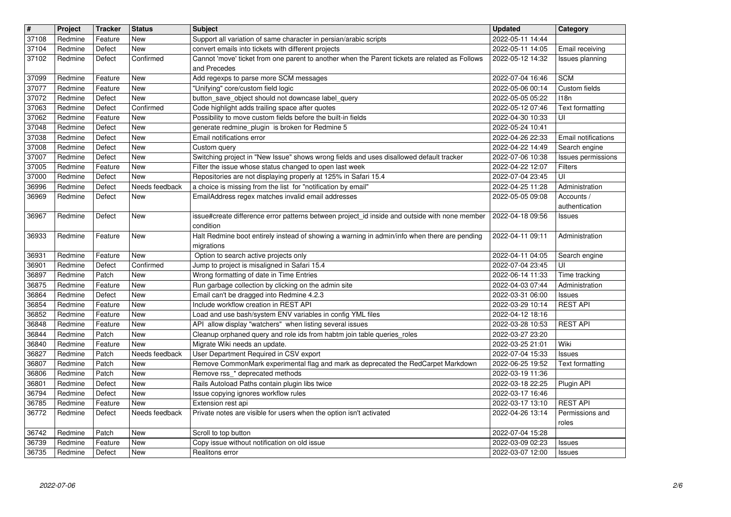| $\sqrt{\frac{4}{15}}$ | Project            | <b>Tracker</b>    | <b>Status</b>         | <b>Subject</b>                                                                                                                   | <b>Updated</b>                       | Category                        |
|-----------------------|--------------------|-------------------|-----------------------|----------------------------------------------------------------------------------------------------------------------------------|--------------------------------------|---------------------------------|
| 37108                 | Redmine            | Feature           | <b>New</b>            | Support all variation of same character in persian/arabic scripts                                                                | 2022-05-11 14:44                     |                                 |
| 37104                 | Redmine            | Defect            | New                   | convert emails into tickets with different projects                                                                              | 2022-05-11 14:05                     | Email receiving                 |
| 37102                 | Redmine            | Defect            | Confirmed             | Cannot 'move' ticket from one parent to another when the Parent tickets are related as Follows<br>and Precedes                   | 2022-05-12 14:32                     | Issues planning                 |
| 37099                 | Redmine            | Feature           | New                   | Add regexps to parse more SCM messages                                                                                           | 2022-07-04 16:46                     | <b>SCM</b>                      |
| 37077                 | Redmine            | Feature           | New                   | "Unifying" core/custom field logic                                                                                               | 2022-05-06 00:14                     | Custom fields                   |
| 37072                 | Redmine            | Defect            | New                   | button_save_object should not downcase label_query                                                                               | 2022-05-05 05:22                     | 118n                            |
| 37063<br>37062        | Redmine<br>Redmine | Defect<br>Feature | Confirmed<br>New      | Code highlight adds trailing space after quotes<br>Possibility to move custom fields before the built-in fields                  | 2022-05-12 07:46<br>2022-04-30 10:33 | Text formatting<br>UI           |
| 37048                 | Redmine            | Defect            | <b>New</b>            | generate redmine_plugin is broken for Redmine 5                                                                                  | 2022-05-24 10:41                     |                                 |
| 37038                 | Redmine            | Defect            | New                   | Email notifications error                                                                                                        | 2022-04-26 22:33                     | Email notifications             |
| 37008                 | Redmine            | Defect            | New                   | Custom query                                                                                                                     | 2022-04-22 14:49                     | Search engine                   |
| 37007                 | Redmine            | Defect            | New                   | Switching project in "New Issue" shows wrong fields and uses disallowed default tracker                                          | 2022-07-06 10:38                     | Issues permissions              |
| 37005                 | Redmine            | Feature           | New                   | Filter the issue whose status changed to open last week                                                                          | 2022-04-22 12:07                     | Filters                         |
| 37000<br>36996        | Redmine<br>Redmine | Defect<br>Defect  | New<br>Needs feedback | Repositories are not displaying properly at 125% in Safari 15.4<br>a choice is missing from the list for "notification by email" | 2022-07-04 23:45<br>2022-04-25 11:28 | UI<br>Administration            |
| 36969                 | Redmine            | Defect            | New                   | EmailAddress regex matches invalid email addresses                                                                               | 2022-05-05 09:08                     | Accounts /                      |
|                       |                    |                   |                       |                                                                                                                                  |                                      | authentication                  |
| 36967                 | Redmine            | Defect            | <b>New</b>            | issue#create difference error patterns between project_id inside and outside with none member<br>condition                       | 2022-04-18 09:56                     | Issues                          |
| 36933                 | Redmine            | Feature           | <b>New</b>            | Halt Redmine boot entirely instead of showing a warning in admin/info when there are pending                                     | 2022-04-11 09:11                     | Administration                  |
|                       |                    |                   |                       | migrations                                                                                                                       |                                      |                                 |
| 36931                 | Redmine            | Feature           | New                   | Option to search active projects only                                                                                            | 2022-04-11 04:05                     | Search engine                   |
| 36901                 | Redmine            | Defect            | Confirmed             | Jump to project is misaligned in Safari 15.4                                                                                     | 2022-07-04 23:45                     | UI                              |
| 36897<br>36875        | Redmine<br>Redmine | Patch<br>Feature  | New<br>New            | Wrong formatting of date in Time Entries<br>Run garbage collection by clicking on the admin site                                 | 2022-06-14 11:33<br>2022-04-03 07:44 | Time tracking<br>Administration |
| 36864                 | Redmine            | Defect            | New                   | Email can't be dragged into Redmine 4.2.3                                                                                        | 2022-03-31 06:00                     | Issues                          |
| 36854                 | Redmine            | Feature           | New                   | Include workflow creation in REST API                                                                                            | 2022-03-29 10:14                     | <b>REST API</b>                 |
| 36852                 | Redmine            | Feature           | New                   | Load and use bash/system ENV variables in config YML files                                                                       | 2022-04-12 18:16                     |                                 |
| 36848                 | Redmine            | Feature           | <b>New</b>            | API allow display "watchers" when listing several issues                                                                         | 2022-03-28 10:53                     | <b>REST API</b>                 |
| 36844<br>36840        | Redmine<br>Redmine | Patch<br>Feature  | New<br>New            | Cleanup orphaned query and role ids from habtm join table queries_roles<br>Migrate Wiki needs an update.                         | 2022-03-27 23:20<br>2022-03-25 21:01 | Wiki                            |
| 36827                 | Redmine            | Patch             | Needs feedback        | User Department Required in CSV export                                                                                           | 2022-07-04 15:33                     | <b>Issues</b>                   |
| 36807                 | Redmine            | Patch             | New                   | Remove CommonMark experimental flag and mark as deprecated the RedCarpet Markdown                                                | 2022-06-25 19:52                     | Text formatting                 |
| 36806                 | Redmine            | Patch             | New                   | Remove rss_* deprecated methods                                                                                                  | 2022-03-19 11:36                     |                                 |
| 36801                 | Redmine            | Defect            | New                   | Rails Autoload Paths contain plugin libs twice                                                                                   | 2022-03-18 22:25                     | Plugin API                      |
| 36794<br>36785        | Redmine<br>Redmine | Defect<br>Feature | New<br>New            | Issue copying ignores workflow rules<br>Extension rest api                                                                       | 2022-03-17 16:46<br>2022-03-17 13:10 | <b>REST API</b>                 |
| 36772                 | Redmine            | Defect            | Needs feedback        | Private notes are visible for users when the option isn't activated                                                              | 2022-04-26 13:14                     | Permissions and                 |
|                       |                    |                   |                       |                                                                                                                                  |                                      | roles                           |
| 36742                 | Redmine            | Patch             | <b>New</b>            | Scroll to top button                                                                                                             | 2022-07-04 15:28                     |                                 |
| 36739<br>36735        | Redmine<br>Redmine | Feature<br>Defect | New<br>New            | Copy issue without notification on old issue<br>Realitons error                                                                  | 2022-03-09 02:23<br>2022-03-07 12:00 | <b>Issues</b><br><b>Issues</b>  |
|                       | 2022-07-06         |                   |                       |                                                                                                                                  |                                      |                                 |
|                       |                    |                   |                       |                                                                                                                                  |                                      |                                 |
|                       |                    |                   |                       |                                                                                                                                  |                                      |                                 |
|                       |                    |                   |                       |                                                                                                                                  |                                      |                                 |
|                       |                    |                   |                       |                                                                                                                                  |                                      |                                 |
|                       |                    |                   |                       |                                                                                                                                  |                                      |                                 |
|                       |                    |                   |                       |                                                                                                                                  |                                      |                                 |
|                       |                    |                   |                       |                                                                                                                                  |                                      |                                 |
|                       |                    |                   |                       |                                                                                                                                  |                                      |                                 |
|                       |                    |                   |                       |                                                                                                                                  |                                      |                                 |
|                       |                    |                   |                       |                                                                                                                                  |                                      |                                 |
|                       |                    |                   |                       |                                                                                                                                  |                                      |                                 |
|                       |                    |                   |                       |                                                                                                                                  |                                      |                                 |
|                       |                    |                   |                       |                                                                                                                                  |                                      |                                 |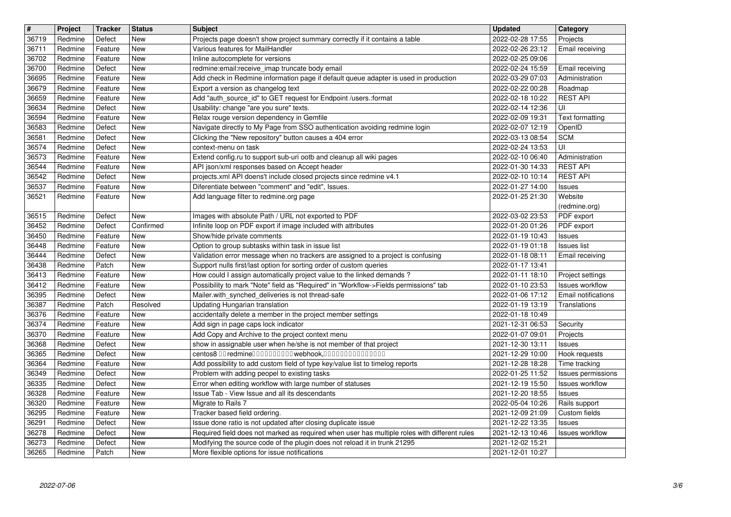| $\vert$ #      | Project            | <b>Tracker</b>     | <b>Status</b>            | <b>Subject</b>                                                                                                                                                            | <b>Updated</b>                       | Category                                             |
|----------------|--------------------|--------------------|--------------------------|---------------------------------------------------------------------------------------------------------------------------------------------------------------------------|--------------------------------------|------------------------------------------------------|
| 36719<br>36711 | Redmine<br>Redmine | Defect<br>Feature  | <b>New</b><br><b>New</b> | Projects page doesn't show project summary correctly if it contains a table<br>Various features for MailHandler                                                           | 2022-02-28 17:55<br>2022-02-26 23:12 | Projects<br>Email receiving                          |
| 36702          | Redmine            | Feature            | New                      | Inline autocomplete for versions                                                                                                                                          | 2022-02-25 09:06                     |                                                      |
| 36700          | Redmine            | Defect             | New                      | redmine: email: receive_imap truncate body email                                                                                                                          | 2022-02-24 15:59                     | Email receiving                                      |
| 36695<br>36679 | Redmine<br>Redmine | Feature<br>Feature | New<br>New               | Add check in Redmine information page if default queue adapter is used in production<br>Export a version as changelog text                                                | 2022-03-29 07:03<br>2022-02-22 00:28 | Administration<br>Roadmap                            |
| 36659          | Redmine            | Feature            | New                      | Add "auth_source_id" to GET request for Endpoint /users.:format                                                                                                           | 2022-02-18 10:22                     | <b>REST API</b>                                      |
| 36634<br>36594 | Redmine<br>Redmine | Defect<br>Feature  | New<br>New               | Usability: change "are you sure" texts.<br>Relax rouge version dependency in Gemfile                                                                                      | 2022-02-14 12:36<br>2022-02-09 19:31 | UI<br><b>Text formatting</b>                         |
| 36583          | Redmine            | Defect             | New                      | Navigate directly to My Page from SSO authentication avoiding redmine login                                                                                               | 2022-02-07 12:19                     | OpenID                                               |
| 36581          | Redmine            | Defect             | New                      | Clicking the "New repository" button causes a 404 error                                                                                                                   | 2022-03-13 08:54                     | <b>SCM</b>                                           |
| 36574<br>36573 | Redmine<br>Redmine | Defect<br>Feature  | New<br>New               | context-menu on task<br>Extend config.ru to support sub-uri ootb and cleanup all wiki pages                                                                               | 2022-02-24 13:53<br>2022-02-10 06:40 | UI<br>Administration                                 |
| 36544          | Redmine            | Feature            | New                      | API json/xml responses based on Accept header                                                                                                                             | 2022-01-30 14:33                     | <b>REST API</b>                                      |
| 36542<br>36537 | Redmine<br>Redmine | Defect<br>Feature  | New<br>New               | projects.xml API doens't include closed projects since redmine v4.1<br>Diferentiate between "comment" and "edit", Issues.                                                 | 2022-02-10 10:14<br>2022-01-27 14:00 | <b>REST API</b><br>Issues                            |
| 36521          | Redmine            | Feature            | New                      | Add language filter to redmine.org page                                                                                                                                   | 2022-01-25 21:30                     | Website<br>(redmine.org)                             |
| 36515          | Redmine            | Defect             | New<br>Confirmed         | Images with absolute Path / URL not exported to PDF                                                                                                                       | 2022-03-02 23:53                     | PDF export                                           |
| 36452<br>36450 | Redmine<br>Redmine | Defect<br>Feature  | New                      | Infinite loop on PDF export if image included with attributes<br>Show/hide private comments                                                                               | 2022-01-20 01:26<br>2022-01-19 10:43 | PDF export<br>Issues                                 |
| 36448          | Redmine            | Feature            | New                      | Option to group subtasks within task in issue list                                                                                                                        | 2022-01-19 01:18                     | <b>Issues list</b>                                   |
| 36444<br>36438 | Redmine<br>Redmine | Defect<br>Patch    | New<br>New               | Validation error message when no trackers are assigned to a project is confusing<br>Support nulls first/last option for sorting order of custom queries                   | 2022-01-18 08:11<br>2022-01-17 13:41 | Email receiving                                      |
| 36413          | Redmine            | Feature            | New                      | How could I assign automatically project value to the linked demands?                                                                                                     | 2022-01-11 18:10                     | Project settings                                     |
| 36412          | Redmine<br>Redmine | Feature<br>Defect  | New<br>New               | Possibility to mark "Note" field as "Required" in "Workflow->Fields permissions" tab<br>Mailer.with_synched_deliveries is not thread-safe                                 | 2022-01-10 23:53<br>2022-01-06 17:12 | <b>Issues workflow</b><br><b>Email notifications</b> |
| 36395<br>36387 | Redmine            | Patch              | Resolved                 | Updating Hungarian translation                                                                                                                                            | 2022-01-19 13:19                     | Translations                                         |
| 36376          | Redmine            | Feature            | New                      | accidentally delete a member in the project member settings                                                                                                               | 2022-01-18 10:49                     |                                                      |
| 36374<br>36370 | Redmine<br>Redmine | Feature<br>Feature | New<br>New               | Add sign in page caps lock indicator<br>Add Copy and Archive to the project context menu                                                                                  | 2021-12-31 06:53<br>2022-01-07 09:01 | Security<br>Projects                                 |
| 36368          | Redmine            | Defect             | New                      | show in assignable user when he/she is not member of that project                                                                                                         | 2021-12-30 13:11                     | Issues                                               |
| 36365          | Redmine            | Defect             | New                      | centos8 00 redmine0000000000 webhook,000000000000000                                                                                                                      | 2021-12-29 10:00                     | Hook requests                                        |
| 36364<br>36349 | Redmine<br>Redmine | Feature<br>Defect  | New<br>New               | Add possibility to add custom field of type key/value list to timelog reports<br>Problem with adding peopel to existing tasks                                             | 2021-12-28 18:28<br>2022-01-25 11:52 | Time tracking<br>Issues permissions                  |
| 36335          | Redmine            | Defect             | New                      | Error when editing workflow with large number of statuses                                                                                                                 | 2021-12-19 15:50                     | <b>Issues workflow</b>                               |
| 36328<br>36320 | Redmine<br>Redmine | Feature<br>Feature | New<br>New               | Issue Tab - View Issue and all its descendants<br>Migrate to Rails 7                                                                                                      | 2021-12-20 18:55<br>2022-05-04 10:26 | Issues<br>Rails support                              |
| 36295          | Redmine            | Feature            | New                      | Tracker based field ordering.                                                                                                                                             | 2021-12-09 21:09                     | Custom fields                                        |
| 36291          | Redmine            | Defect             | New                      | Issue done ratio is not updated after closing duplicate issue                                                                                                             | 2021-12-22 13:35                     | <b>Issues</b>                                        |
| 36278<br>36273 | Redmine<br>Redmine | Defect<br>Defect   | New<br>New               | Required field does not marked as required when user has multiple roles with different rules<br>Modifying the source code of the plugin does not reload it in trunk 21295 | 2021-12-13 10:46<br>2021-12-02 15:21 | Issues workflow                                      |
| 36265          | Redmine            | Patch              | New                      | More flexible options for issue notifications                                                                                                                             | 2021-12-01 10:27                     |                                                      |
|                |                    |                    |                          |                                                                                                                                                                           |                                      |                                                      |
|                |                    |                    |                          |                                                                                                                                                                           |                                      |                                                      |
|                |                    |                    |                          |                                                                                                                                                                           |                                      |                                                      |
|                |                    |                    |                          |                                                                                                                                                                           |                                      |                                                      |
|                |                    |                    |                          |                                                                                                                                                                           |                                      |                                                      |
|                |                    |                    |                          |                                                                                                                                                                           |                                      |                                                      |
|                |                    |                    |                          |                                                                                                                                                                           |                                      |                                                      |
|                |                    |                    |                          |                                                                                                                                                                           |                                      |                                                      |
|                |                    |                    |                          |                                                                                                                                                                           |                                      |                                                      |
|                |                    |                    |                          |                                                                                                                                                                           |                                      |                                                      |
|                |                    |                    |                          |                                                                                                                                                                           |                                      |                                                      |
|                |                    |                    |                          |                                                                                                                                                                           |                                      |                                                      |
|                |                    |                    |                          |                                                                                                                                                                           |                                      |                                                      |
|                |                    |                    |                          |                                                                                                                                                                           |                                      |                                                      |
|                |                    |                    |                          |                                                                                                                                                                           |                                      |                                                      |
|                |                    |                    |                          |                                                                                                                                                                           |                                      |                                                      |
|                |                    |                    |                          |                                                                                                                                                                           |                                      |                                                      |
|                |                    |                    |                          |                                                                                                                                                                           |                                      |                                                      |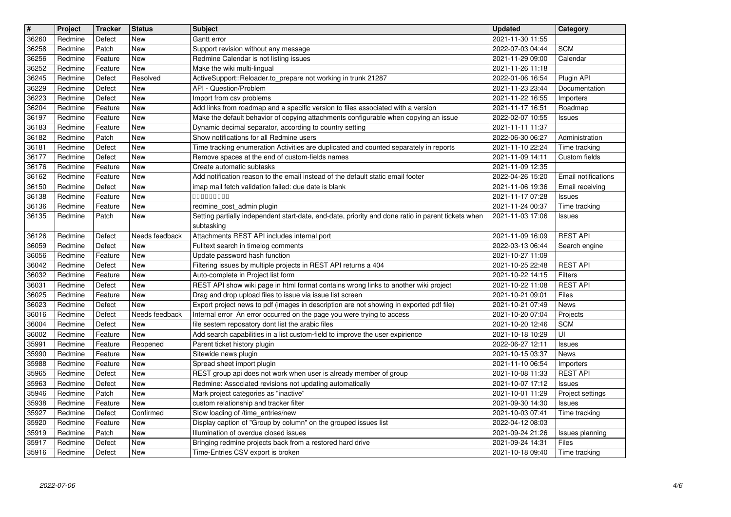| $\overline{\boldsymbol{H}}$ | Project            | <b>Tracker</b>     | <b>Status</b>         | <b>Subject</b>                                                                                                                                                    | <b>Updated</b>                       | Category                         |
|-----------------------------|--------------------|--------------------|-----------------------|-------------------------------------------------------------------------------------------------------------------------------------------------------------------|--------------------------------------|----------------------------------|
| 36260                       | Redmine            | Defect             | New                   | Gantt error                                                                                                                                                       | 2021-11-30 11:55                     |                                  |
| 36258<br>36256              | Redmine<br>Redmine | Patch<br>Feature   | New<br>New            | Support revision without any message<br>Redmine Calendar is not listing issues                                                                                    | 2022-07-03 04:44<br>2021-11-29 09:00 | <b>SCM</b><br>Calendar           |
| 36252                       | Redmine            | Feature            | New                   | Make the wiki multi-lingual                                                                                                                                       | 2021-11-26 11:18                     |                                  |
| 36245                       | Redmine            | Defect             | Resolved              | ActiveSupport::Reloader.to_prepare not working in trunk 21287                                                                                                     | 2022-01-06 16:54                     | Plugin API                       |
| 36229<br>36223              | Redmine<br>Redmine | Defect<br>Defect   | New<br>New            | API - Question/Problem<br>Import from csv problems                                                                                                                | 2021-11-23 23:44<br>2021-11-22 16:55 | Documentation<br>Importers       |
| 36204                       | Redmine            | Feature            | <b>New</b>            | Add links from roadmap and a specific version to files associated with a version                                                                                  | 2021-11-17 16:51                     | Roadmap                          |
| 36197                       | Redmine            | Feature            | New                   | Make the default behavior of copying attachments configurable when copying an issue                                                                               | 2022-02-07 10:55                     | Issues                           |
| 36183<br>36182              | Redmine            | Feature            | New                   | Dynamic decimal separator, according to country setting                                                                                                           | 2021-11-11 11:37<br>2022-06-30 06:27 |                                  |
| 36181                       | Redmine<br>Redmine | Patch<br>Defect    | New<br>New            | Show notifications for all Redmine users<br>Time tracking enumeration Activities are duplicated and counted separately in reports                                 | 2021-11-10 22:24                     | Administration<br>Time tracking  |
| 36177                       | Redmine            | Defect             | <b>New</b>            | Remove spaces at the end of custom-fields names                                                                                                                   | 2021-11-09 14:11                     | Custom fields                    |
| 36176<br>36162              | Redmine<br>Redmine | Feature<br>Feature | New<br>New            | Create automatic subtasks<br>Add notification reason to the email instead of the default static email footer                                                      | 2021-11-09 12:35<br>2022-04-26 15:20 | Email notifications              |
| 36150                       | Redmine            | Defect             | New                   | imap mail fetch validation failed: due date is blank                                                                                                              | 2021-11-06 19:36                     | Email receiving                  |
| 36138<br>36136              | Redmine            | Feature            | New                   | 000000000                                                                                                                                                         | 2021-11-17 07:28                     | Issues                           |
| 36135                       | Redmine<br>Redmine | Feature<br>Patch   | New<br>New            | redmine_cost_admin plugin<br>Setting partially independent start-date, end-date, priority and done ratio in parent tickets when<br>subtasking                     | 2021-11-24 00:37<br>2021-11-03 17:06 | Time tracking<br>Issues          |
| 36126<br>36059              | Redmine<br>Redmine | Defect<br>Defect   | Needs feedback<br>New | Attachments REST API includes internal port<br>Fulltext search in timelog comments                                                                                | 2021-11-09 16:09<br>2022-03-13 06:44 | <b>REST API</b><br>Search engine |
| 36056                       | Redmine            | Feature            | New                   | Update password hash function                                                                                                                                     | 2021-10-27 11:09                     |                                  |
| 36042                       | Redmine            | Defect             | New                   | Filtering issues by multiple projects in REST API returns a 404                                                                                                   | 2021-10-25 22:48                     | <b>REST API</b>                  |
| 36032<br>36031              | Redmine<br>Redmine | Feature<br>Defect  | New<br>New            | Auto-complete in Project list form<br>REST API show wiki page in html format contains wrong links to another wiki project                                         | 2021-10-22 14:15<br>2021-10-22 11:08 | Filters<br><b>REST API</b>       |
| 36025                       | Redmine            | Feature            | New                   | Drag and drop upload files to issue via issue list screen                                                                                                         | 2021-10-21 09:01                     | Files                            |
| 36023<br>36016              | Redmine<br>Redmine | Defect<br>Defect   | New<br>Needs feedback | Export project news to pdf (images in description are not showing in exported pdf file)<br>Internal error An error occurred on the page you were trying to access | 2021-10-21 07:49<br>2021-10-20 07:04 | <b>News</b><br>Projects          |
| 36004                       | Redmine            | Defect             | New                   | file sestem reposatory dont list the arabic files                                                                                                                 | 2021-10-20 12:46                     | <b>SCM</b>                       |
| 36002                       | Redmine            | Feature            | New                   | Add search capabilities in a list custom-field to improve the user expirience                                                                                     | 2021-10-18 10:29                     | UI                               |
| 35991<br>35990              | Redmine<br>Redmine | Feature<br>Feature | Reopened<br>New       | Parent ticket history plugin<br>Sitewide news plugin                                                                                                              | 2022-06-27 12:11<br>2021-10-15 03:37 | Issues<br>News                   |
| 35988                       | Redmine            | Feature            | New                   | Spread sheet import plugin                                                                                                                                        | 2021-11-10 06:54                     | Importers                        |
| 35965                       | Redmine            | Defect             | New                   | REST group api does not work when user is already member of group                                                                                                 | 2021-10-08 11:33                     | <b>REST API</b>                  |
| 35963<br>35946              | Redmine<br>Redmine | Defect<br>Patch    | New<br>New            | Redmine: Associated revisions not updating automatically<br>Mark project categories as "inactive"                                                                 | 2021-10-07 17:12<br>2021-10-01 11:29 | Issues<br>Project settings       |
| 35938                       | Redmine            | Feature            | New                   | custom relationship and tracker filter                                                                                                                            | 2021-09-30 14:30                     | <b>Issues</b>                    |
| 35927                       | Redmine            | Defect             | Confirmed             | Slow loading of /time_entries/new                                                                                                                                 | 2021-10-03 07:41                     | Time tracking                    |
| 35920<br>35919              | Redmine<br>Redmine | Feature<br>Patch   | New<br>New            | Display caption of "Group by column" on the grouped issues list<br>Illumination of overdue closed issues                                                          | 2022-04-12 08:03<br>2021-09-24 21:26 | Issues planning                  |
| 35917                       | Redmine            | Defect             | New                   | Bringing redmine projects back from a restored hard drive                                                                                                         | 2021-09-24 14:31                     | <b>Files</b>                     |
| 35916                       | Redmine            | Defect             | New                   | Time-Entries CSV export is broken                                                                                                                                 | 2021-10-18 09:40                     | Time tracking                    |
|                             |                    |                    |                       |                                                                                                                                                                   |                                      |                                  |
|                             |                    |                    |                       |                                                                                                                                                                   |                                      |                                  |
|                             |                    |                    |                       |                                                                                                                                                                   |                                      |                                  |
|                             |                    |                    |                       |                                                                                                                                                                   |                                      |                                  |
|                             |                    |                    |                       |                                                                                                                                                                   |                                      |                                  |
|                             |                    |                    |                       |                                                                                                                                                                   |                                      |                                  |
|                             |                    |                    |                       |                                                                                                                                                                   |                                      |                                  |
|                             |                    |                    |                       |                                                                                                                                                                   |                                      |                                  |
|                             |                    |                    |                       |                                                                                                                                                                   |                                      |                                  |
|                             |                    |                    |                       |                                                                                                                                                                   |                                      |                                  |
|                             |                    |                    |                       |                                                                                                                                                                   |                                      |                                  |
|                             |                    |                    |                       |                                                                                                                                                                   |                                      |                                  |
|                             |                    |                    |                       |                                                                                                                                                                   |                                      |                                  |
|                             |                    |                    |                       |                                                                                                                                                                   |                                      |                                  |
|                             |                    |                    |                       |                                                                                                                                                                   |                                      |                                  |
|                             |                    |                    |                       |                                                                                                                                                                   |                                      |                                  |
|                             |                    |                    |                       |                                                                                                                                                                   |                                      |                                  |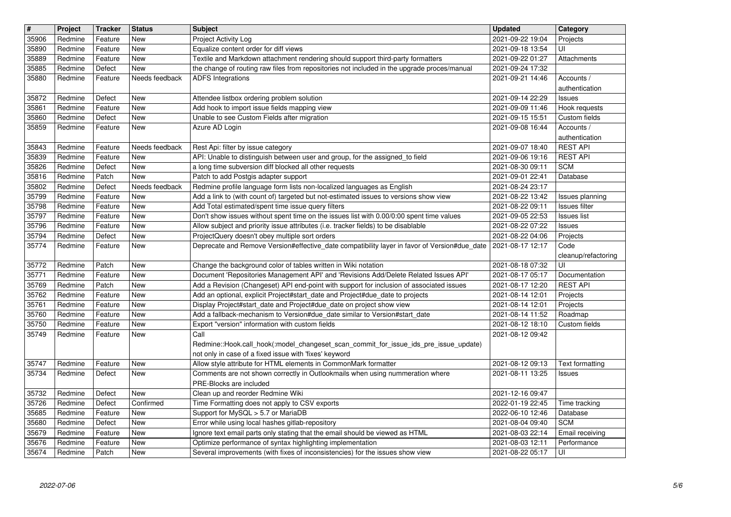| 35906<br>35890<br>35889 | Project            | <b>Tracker</b>     | <b>Status</b>           | <b>Subject</b>                                                                                                                                                                 | <b>Updated</b>                       | Category                            |
|-------------------------|--------------------|--------------------|-------------------------|--------------------------------------------------------------------------------------------------------------------------------------------------------------------------------|--------------------------------------|-------------------------------------|
|                         | Redmine            | Feature            | New                     | Project Activity Log                                                                                                                                                           | 2021-09-22 19:04                     | Projects                            |
|                         | Redmine            | Feature            | New                     | Equalize content order for diff views                                                                                                                                          | 2021-09-18 13:54                     | UI                                  |
| 35885                   | Redmine<br>Redmine | Feature<br>Defect  | New<br><b>New</b>       | Textile and Markdown attachment rendering should support third-party formatters<br>the change of routing raw files from repositories not included in the upgrade proces/manual | 2021-09-22 01:27<br>2021-09-24 17:32 | Attachments                         |
| 35880                   | Redmine            | Feature            | Needs feedback          | <b>ADFS Integrations</b>                                                                                                                                                       | 2021-09-21 14:46                     | Accounts /                          |
|                         |                    |                    |                         |                                                                                                                                                                                |                                      | authentication                      |
| 35872                   | Redmine            | Defect             | New                     | Attendee listbox ordering problem solution                                                                                                                                     | 2021-09-14 22:29                     | <b>Issues</b>                       |
| 35861<br>35860          | Redmine<br>Redmine | Feature<br>Defect  | New<br>New              | Add hook to import issue fields mapping view<br>Unable to see Custom Fields after migration                                                                                    | 2021-09-09 11:46<br>2021-09-15 15:51 | Hook requests<br>Custom fields      |
| 35859                   | Redmine            | Feature            | New                     | Azure AD Login                                                                                                                                                                 | 2021-09-08 16:44                     | Accounts /                          |
|                         |                    |                    |                         |                                                                                                                                                                                |                                      | authentication                      |
| 35843                   | Redmine            | Feature            | Needs feedback          | Rest Api: filter by issue category                                                                                                                                             | 2021-09-07 18:40                     | <b>REST API</b>                     |
| 35839<br>35826          | Redmine<br>Redmine | Feature<br>Defect  | New<br>New              | API: Unable to distinguish between user and group, for the assigned_to field<br>a long time subversion diff blocked all other requests                                         | 2021-09-06 19:16<br>2021-08-30 09:11 | <b>REST API</b><br><b>SCM</b>       |
| 35816                   | Redmine            | Patch              | <b>New</b>              | Patch to add Postgis adapter support                                                                                                                                           | 2021-09-01 22:41                     | Database                            |
| 35802                   | Redmine            | Defect             | Needs feedback          | Redmine profile language form lists non-localized languages as English                                                                                                         | 2021-08-24 23:17                     |                                     |
| 35799                   | Redmine            | Feature            | New                     | Add a link to (with count of) targeted but not-estimated issues to versions show view                                                                                          | 2021-08-22 13:42                     | Issues planning                     |
| 35798<br>35797          | Redmine<br>Redmine | Feature<br>Feature | New<br>New              | Add Total estimated/spent time issue query filters<br>Don't show issues without spent time on the issues list with 0.00/0:00 spent time values                                 | 2021-08-22 09:11<br>2021-09-05 22:53 | Issues filter<br><b>Issues list</b> |
| 35796                   | Redmine            | Feature            | New                     | Allow subject and priority issue attributes (i.e. tracker fields) to be disablable                                                                                             | 2021-08-22 07:22                     | <b>Issues</b>                       |
| 35794                   | Redmine            | Defect             | New                     | ProjectQuery doesn't obey multiple sort orders                                                                                                                                 | 2021-08-22 04:06                     | Projects                            |
| 35774                   | Redmine            | Feature            | New                     | Deprecate and Remove Version#effective_date compatibility layer in favor of Version#due_date                                                                                   | 2021-08-17 12:17                     | Code                                |
| 35772                   | Redmine            | Patch              | <b>New</b>              | Change the background color of tables written in Wiki notation                                                                                                                 | 2021-08-18 07:32                     | cleanup/refactoring<br>UI           |
| 35771                   | Redmine            | Feature            | New                     | Document 'Repositories Management API' and 'Revisions Add/Delete Related Issues API'                                                                                           | 2021-08-17 05:17                     | Documentation                       |
| 35769                   | Redmine            | Patch              | <b>New</b>              | Add a Revision (Changeset) API end-point with support for inclusion of associated issues                                                                                       | 2021-08-17 12:20                     | <b>REST API</b>                     |
| 35762                   | Redmine            | Feature            | New                     | Add an optional, explicit Project#start_date and Project#due_date to projects                                                                                                  | 2021-08-14 12:01                     | Projects                            |
| 35761<br>35760          | Redmine<br>Redmine | Feature<br>Feature | New<br>New              | Display Project#start_date and Project#due_date on project show view<br>Add a fallback-mechanism to Version#due_date similar to Version#start_date                             | 2021-08-14 12:01<br>2021-08-14 11:52 | Projects<br>Roadmap                 |
| 35750                   | Redmine            | Feature            | New                     | Export "version" information with custom fields                                                                                                                                | 2021-08-12 18:10                     | Custom fields                       |
| 35749                   | Redmine            | Feature            | New                     | Call                                                                                                                                                                           | 2021-08-12 09:42                     |                                     |
|                         |                    |                    |                         | Redmine::Hook.call_hook(:model_changeset_scan_commit_for_issue_ids_pre_issue_update)                                                                                           |                                      |                                     |
| 35747                   | Redmine            | Feature            | <b>New</b>              | not only in case of a fixed issue with 'fixes' keyword<br>Allow style attribute for HTML elements in CommonMark formatter                                                      | 2021-08-12 09:13                     | Text formatting                     |
| 35734                   | Redmine            | Defect             | New                     | Comments are not shown correctly in Outlookmails when using nummeration where                                                                                                  | 2021-08-11 13:25                     | Issues                              |
|                         |                    |                    |                         | PRE-Blocks are included                                                                                                                                                        |                                      |                                     |
| 35732                   | Redmine            | Defect             | New                     | Clean up and reorder Redmine Wiki                                                                                                                                              | 2021-12-16 09:47                     |                                     |
| 35726<br>35685          | Redmine<br>Redmine | Defect<br>Feature  | Confirmed<br><b>New</b> | Time Formatting does not apply to CSV exports<br>Support for MySQL > 5.7 or MariaDB                                                                                            | 2022-01-19 22:45<br>2022-06-10 12:46 | Time tracking<br>Database           |
| 35680                   | Redmine            | Defect             | New                     | Error while using local hashes gitlab-repository                                                                                                                               | 2021-08-04 09:40                     | <b>SCM</b>                          |
| 35679                   | Redmine            | Feature            | New                     | Ignore text email parts only stating that the email should be viewed as HTML                                                                                                   | 2021-08-03 22:14                     | Email receiving                     |
| 35676<br>35674          | Redmine<br>Redmine | Feature<br>Patch   | New<br>New              | Optimize performance of syntax highlighting implementation<br>Several improvements (with fixes of inconsistencies) for the issues show view                                    | 2021-08-03 12:11<br>2021-08-22 05:17 | Performance<br>UI                   |
|                         |                    |                    |                         |                                                                                                                                                                                |                                      |                                     |
|                         |                    |                    |                         |                                                                                                                                                                                |                                      |                                     |
|                         |                    |                    |                         |                                                                                                                                                                                |                                      |                                     |